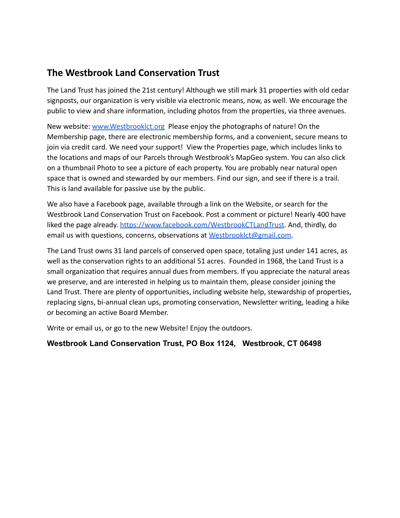## **The Westbrook Land Conservation Trust**

The Land Trust has joined the 21st century! Although we still mark 31 properties with old cedar signposts, our organization is very visible via electronic means, now, as well. We encourage the public to view and share information, including photos from the properties, via three avenues.

New website: [www.Westbrooklct.org](http://www.westbrooklct.org) Please enjoy the photographs of nature! On the Membership page, there are electronic membership forms, and a convenient, secure means to join via credit card. We need your support! View the Properties page, which includes links to the locations and maps of our Parcels through Westbrook's MapGeo system. You can also click on a thumbnail Photo to see a picture of each property. You are probably near natural open space that is owned and stewarded by our members. Find our sign, and see if there is a trail. This is land available for passive use by the public.

We also have a Facebook page, available through a link on the Website, or search for the Westbrook Land Conservation Trust on Facebook. Post a comment or picture! Nearly 400 have liked the page already. <https://www.facebook.com/WestbrookCTLandTrust>. And, thirdly, do email us with questions, concerns, observations at [Westbrooklct@gmail.com.](mailto:Westbrooklct@gmail.com)

The Land Trust owns 31 land parcels of conserved open space, totaling just under 141 acres, as well as the conservation rights to an additional 51 acres. Founded in 1968, the Land Trust is a small organization that requires annual dues from members. If you appreciate the natural areas we preserve, and are interested in helping us to maintain them, please consider joining the Land Trust. There are plenty of opportunities, including website help, stewardship of properties, replacing signs, bi-annual clean ups, promoting conservation, Newsletter writing, leading a hike or becoming an active Board Member.

Write or email us, or go to the new Website! Enjoy the outdoors.

## **Westbrook Land Conservation Trust, PO Box 1124, Westbrook, CT 06498**